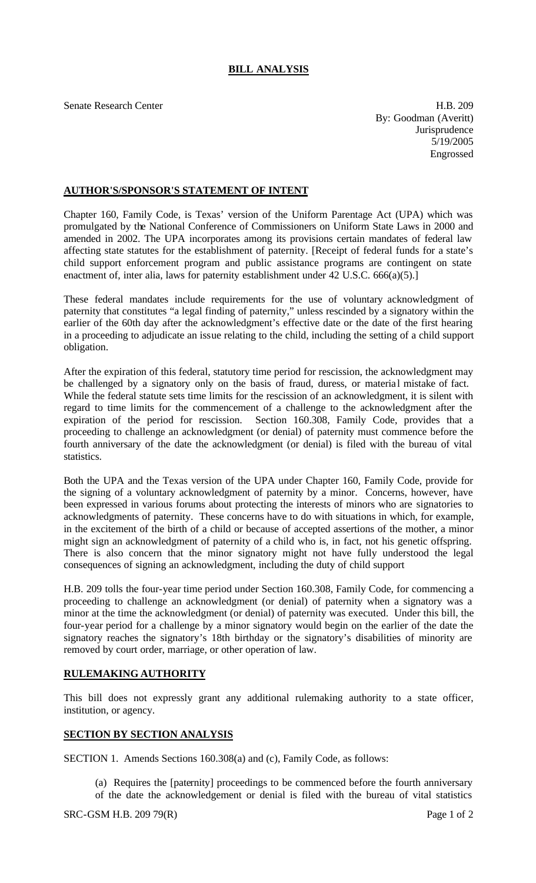## **BILL ANALYSIS**

Senate Research Center **H.B.** 209

By: Goodman (Averitt) **Jurisprudence** 5/19/2005 Engrossed

## **AUTHOR'S/SPONSOR'S STATEMENT OF INTENT**

Chapter 160, Family Code, is Texas' version of the Uniform Parentage Act (UPA) which was promulgated by the National Conference of Commissioners on Uniform State Laws in 2000 and amended in 2002. The UPA incorporates among its provisions certain mandates of federal law affecting state statutes for the establishment of paternity. [Receipt of federal funds for a state's child support enforcement program and public assistance programs are contingent on state enactment of, inter alia, laws for paternity establishment under 42 U.S.C. 666(a)(5).]

These federal mandates include requirements for the use of voluntary acknowledgment of paternity that constitutes "a legal finding of paternity," unless rescinded by a signatory within the earlier of the 60th day after the acknowledgment's effective date or the date of the first hearing in a proceeding to adjudicate an issue relating to the child, including the setting of a child support obligation.

After the expiration of this federal, statutory time period for rescission, the acknowledgment may be challenged by a signatory only on the basis of fraud, duress, or material mistake of fact. While the federal statute sets time limits for the rescission of an acknowledgment, it is silent with regard to time limits for the commencement of a challenge to the acknowledgment after the expiration of the period for rescission. Section 160.308, Family Code, provides that a proceeding to challenge an acknowledgment (or denial) of paternity must commence before the fourth anniversary of the date the acknowledgment (or denial) is filed with the bureau of vital statistics.

Both the UPA and the Texas version of the UPA under Chapter 160, Family Code, provide for the signing of a voluntary acknowledgment of paternity by a minor. Concerns, however, have been expressed in various forums about protecting the interests of minors who are signatories to acknowledgments of paternity. These concerns have to do with situations in which, for example, in the excitement of the birth of a child or because of accepted assertions of the mother, a minor might sign an acknowledgment of paternity of a child who is, in fact, not his genetic offspring. There is also concern that the minor signatory might not have fully understood the legal consequences of signing an acknowledgment, including the duty of child support

H.B. 209 tolls the four-year time period under Section 160.308, Family Code, for commencing a proceeding to challenge an acknowledgment (or denial) of paternity when a signatory was a minor at the time the acknowledgment (or denial) of paternity was executed. Under this bill, the four-year period for a challenge by a minor signatory would begin on the earlier of the date the signatory reaches the signatory's 18th birthday or the signatory's disabilities of minority are removed by court order, marriage, or other operation of law.

## **RULEMAKING AUTHORITY**

This bill does not expressly grant any additional rulemaking authority to a state officer, institution, or agency.

## **SECTION BY SECTION ANALYSIS**

SECTION 1. Amends Sections 160.308(a) and (c), Family Code, as follows:

(a) Requires the [paternity] proceedings to be commenced before the fourth anniversary of the date the acknowledgement or denial is filed with the bureau of vital statistics